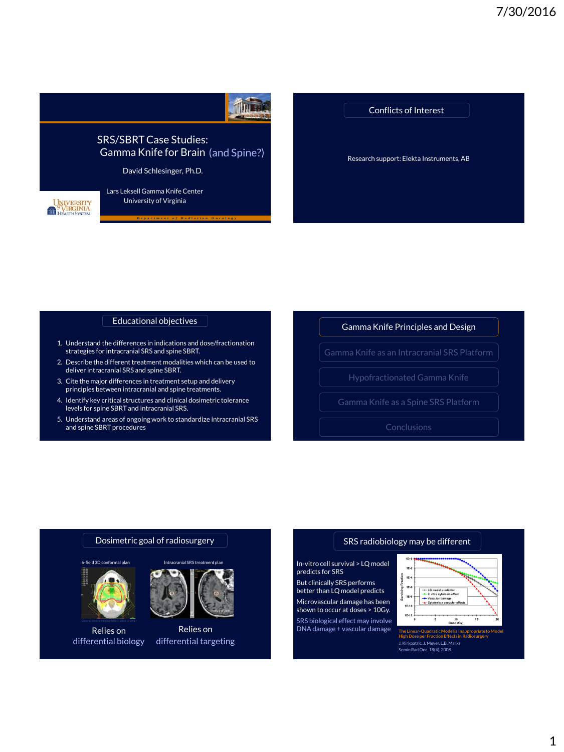

Research support: Elekta Instruments, AB Conflicts of Interest

Educational objectives

- 1. Understand the differences in indications and dose/fractionation strategies for intracranial SRS and spine SBRT.
- 2. Describe the different treatment modalities which can be used to deliver intracranial SRS and spine SBRT.
- 3. Cite the major differences in treatment setup and delivery principles between intracranial and spine treatments.
- 4. Identify key critical structures and clinical dosimetric tolerance levels for spine SBRT and intracranial SRS.
- 5. Understand areas of ongoing work to standardize intracranial SRS and spine SBRT procedures.

Gamma Knife Principles and Design

Gamma Knife as an Intracranial SRS Platform

## Dosimetric goal of radiosurgery



Relies on differential biology



Relies on differential targeting

## SRS radiobiology may be different

In-vitro cell survival > LQ model predicts for SRS But clinically SRS performs

better than LQ model predicts Microvascular damage has been shown to occur at doses > 10Gy. SRS biological effect may involve

 $DNA$  damage + vascular damage



**High Dose per Fraction Effects in Radiosurgery** J. Kirkpatric, J. Meyer, L.B. Marks Semin Rad Onc, 18(4), 2008.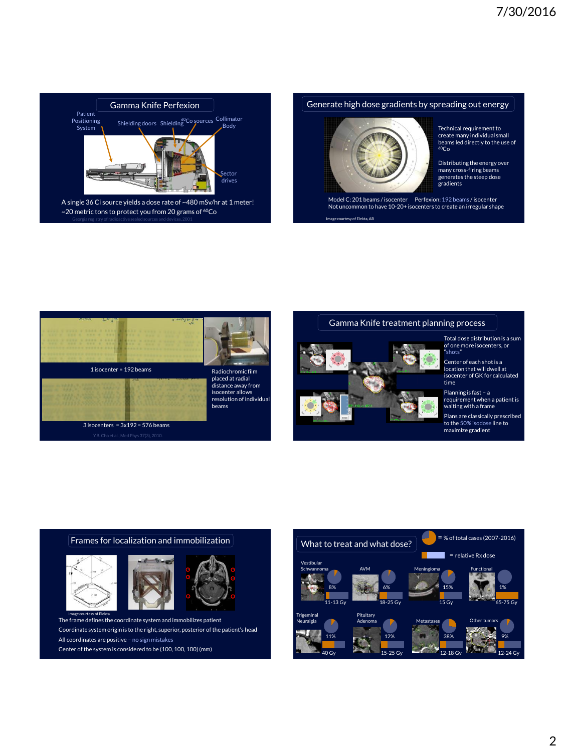

## Generate high dose gradients by spreading out energy



Technical requirement to create many individual small beams led directly to the use of  $60C<sub>0</sub>$ 

Distributing the energy over many cross-firing beams generates the steep dose gradients

courtesy of Elekta, AB Model C: 201 beams / isocenter Perfexion: 192 beams / isocenter Not uncommon to have 10-20+ isocenters to create an irregular shape



#### Gamma Knife treatment planning process



Total dose distribution is a sum of one more isocenters, or "shots"

Center of each shot is a location that will dwell at isocenter of GK for calculated time

Planning is fast – a requirement when a patient is waiting with a frame Plans are classically prescribed to the 50% isodose line to maximize gradient





The frame defines the coordinate system and immobilizes patient Coordinate system origin is to the right, superior, posterior of the patient's head All coordinates are positive – no sign mistakes Center of the system is considered to be (100, 100, 100) (mm)

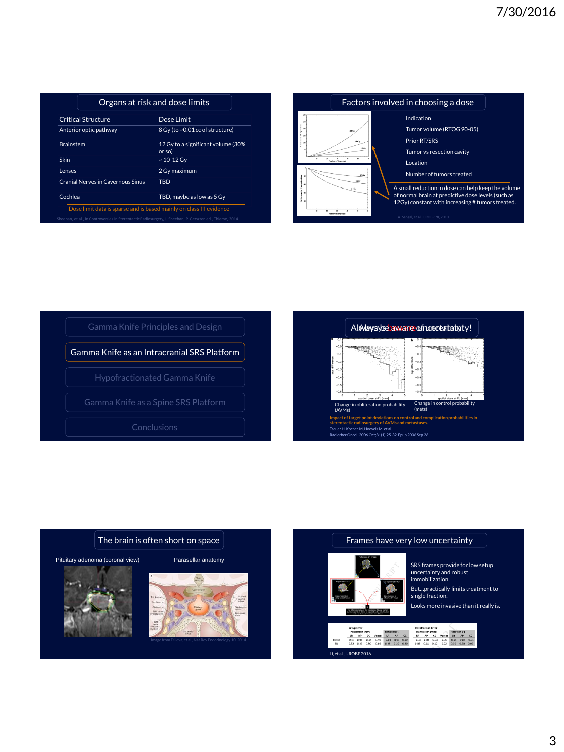| <b>Critical Structure</b>                | Dose Limit                                   |  |
|------------------------------------------|----------------------------------------------|--|
| Anterior optic pathway                   | 8 Gy (to ~0.01 cc of structure)              |  |
| <b>Brainstem</b>                         | 12 Gy to a significant volume (30%<br>or sol |  |
| Skin                                     | $~10 - 12$ Gv                                |  |
| Lenses                                   | 2 Gv maximum                                 |  |
| <b>Cranial Nerves in Cavernous Sinus</b> | TBD                                          |  |
| Cochlea                                  | TBD, maybe as low as 5 Gy                    |  |











### Frames have very low uncertainty



SRS frames provide for low setup uncertainty and robust immobilization.

But…practically limits treatment to single fraction.

Looks more invasive than it really is.



Intrafraction Error<br>
Translation (mm)<br>
LR - AP - CC Vector LR - AP - CC<br>
-0.03 -0.03 -0.03 -0.05 -0.05 -0.05 -0.03<br>
0.05 -0.18 -0.12 -0.22 -0.30 -0.20 -0.09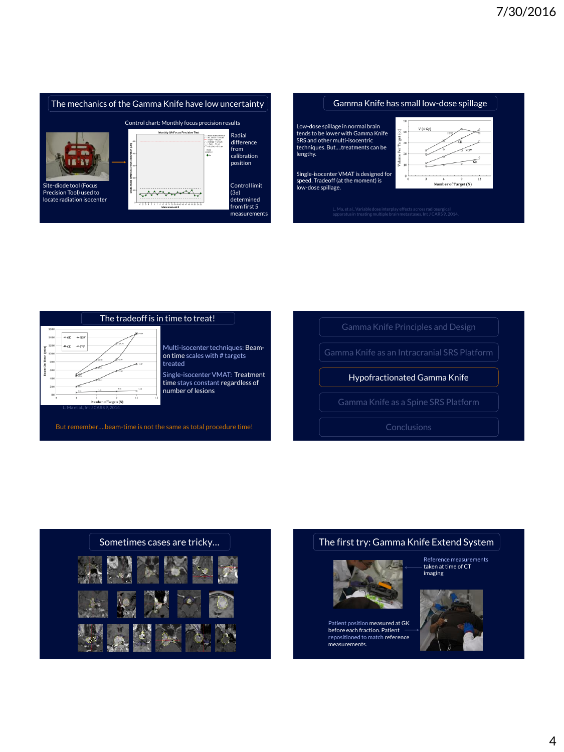



гá

 $\sqrt{N}$ 

12

Low-dose spillage in normal brain  $V(4 Gv)$ tends to be lower with Gamma Knife  $\widehat{\epsilon}$ **FFE** SRS and other multi-isocentric techniques. But….treatments can be me Per T<sub>i</sub> lengthy.  $rac{1}{\sqrt{2}}$  10 Single-isocenter VMAT is designed for speed. Tradeoff (at the moment) is low-dose spillage. Number of Target (N)

adiosurgica<mark>l</mark><br>J CARS 9, 2014







# The first try: Gamma Knife Extend System



Patient position measured at GK before each fraction. Patient repositioned to match reference measurements.

Reference measurements taken at time of CT imaging

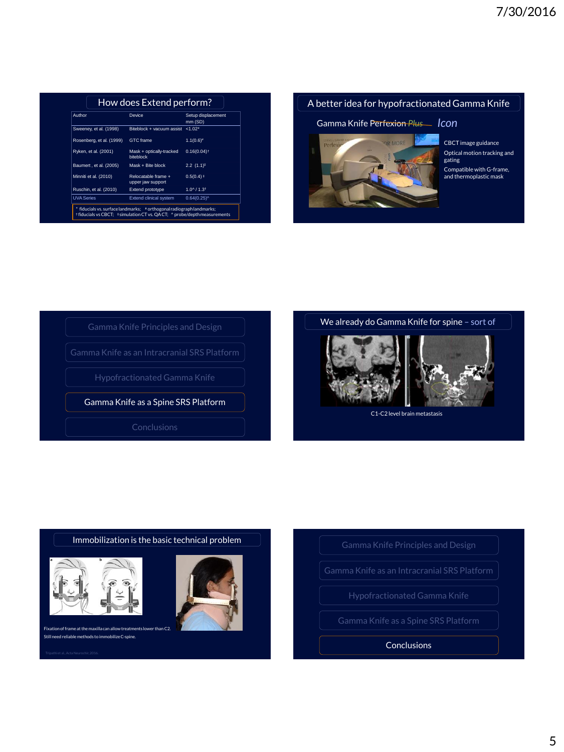| Author                   | <b>Device</b>                            | Setup displacement<br>mm (SD) |
|--------------------------|------------------------------------------|-------------------------------|
| Sweeney, et al. (1998)   | Biteblock + vacuum assist                | $1.02*$                       |
| Rosenberg, et al. (1999) | <b>GTC</b> frame                         | $1.1(0.6)^*$                  |
| Ryken, et al. (2001)     | Mask + optically-tracked<br>biteblock    | $0.16(0.04)$ <sup>+</sup>     |
| Baumert, et al. (2005)   | Mask + Bite block                        | $2.2$ $(1.1)^{\ddagger}$      |
| Minniti et al. (2010)    | Relocatable frame +<br>upper jaw support | $0.5(0.4)$ ‡                  |
| Ruschin, et al. (2010)   | Extend prototype                         | $1.0^{4}$ / $1.3^{+}$         |
| <b>UVA Series</b>        | Extend clinical system                   | 0.64(0.25)                    |

# A better idea for hypofractionated Gamma Knife

# Gamma Knife Perfexion *Plus Icon*



CBCT image guidance Optical motion tracking and gating Compatible with G-frame, and thermoplastic mask









C1-C2 level brain metastasis